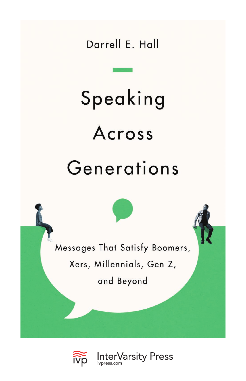Darrell E. Hall

# Speaking Across Generations

Messages That Satisfy Boomers,

Xers, Millennials, Gen Z,

and Beyond

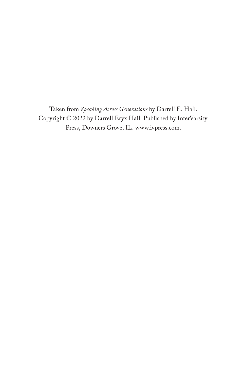Taken from *Speaking Across Generations* by Darrell E. Hall. Copyright © 2022 by Darrell Eryx Hall. Published by InterVarsity Press, Downers Grove, IL. [www.ivpress.com](https://www.ivpress.com).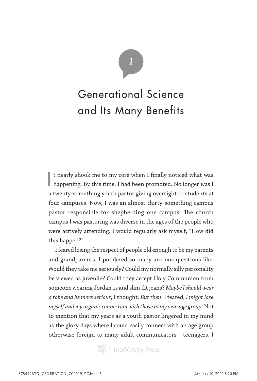# *1*

# Generational Science and Its Many Benefits

It nearly shook me to my core when I finally noticed what was happening. By this time, I had been promoted. No longer was I t nearly shook me to my core when I finally noticed what was a twenty-something youth pastor giving oversight to students at four campuses. Now, I was an almost thirty-something campus pastor responsible for shepherding one campus. The church campus I was pastoring was diverse in the ages of the people who were actively attending. I would regularly ask myself, "How did this happen?"

I feared losing the respect of people old enough to be my parents and grandparents. I pondered so many anxious questions like: Would they take me seriously? Could my normally silly personality be viewed as juvenile? Could they accept Holy Communion from someone wearing Jordan 1s and slim-fit jeans? *Maybe I should wear a robe and be more serious*, I thought. *But then*, I feared, *I might lose myself and my organic connection with those in my own age group.* Not to mention that my years as a youth pastor lingered in my mind as the glory days where I could easily connect with an age group otherwise foreign to many adult communicators—teenagers. I

 $\left| \widetilde{\widetilde{\text{hyp}}} \right|$  InterVarsity Press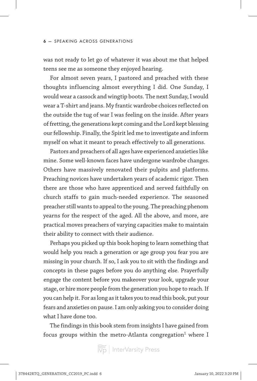was not ready to let go of whatever it was about me that helped teens see me as someone they enjoyed hearing.

For almost seven years, I pastored and preached with these thoughts influencing almost everything I did. One Sunday, I would wear a cassock and wingtip boots. The next Sunday, I would wear a T-shirt and jeans. My frantic wardrobe choices reflected on the outside the tug of war I was feeling on the inside. After years of fretting, the generations kept coming and the Lord kept blessing our fellowship. Finally, the Spirit led me to investigate and inform myself on what it meant to preach effectively to all generations.

Pastors and preachers of all ages have experienced anxieties like mine. Some well-known faces have undergone wardrobe changes. Others have massively renovated their pulpits and platforms. Preaching novices have undertaken years of academic rigor. Then there are those who have apprenticed and served faithfully on church staffs to gain much-needed experience. The seasoned preacher still wants to appeal to the young. The preaching phenom yearns for the respect of the aged. All the above, and more, are practical moves preachers of varying capacities make to maintain their ability to connect with their audience.

Perhaps you picked up this book hoping to learn something that would help you reach a generation or age group you fear you are missing in your church. If so, I ask you to sit with the findings and concepts in these pages before you do anything else. Prayerfully engage the content before you makeover your look, upgrade your stage, or hire more people from the generation you hope to reach. If you can help it. For as long as it takes you to read this book, put your fears and anxieties on pause. I am only asking you to consider doing what I have done too.

The findings in this book stem from insights I have gained from focus groups within the metro-Atlanta congregation $^1$  where I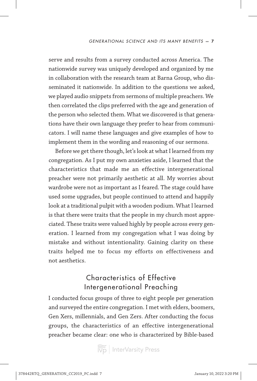serve and results from a survey conducted across America. The nationwide survey was uniquely developed and organized by me in collaboration with the research team at Barna Group, who disseminated it nationwide. In addition to the questions we asked, we played audio snippets from sermons of multiple preachers. We then correlated the clips preferred with the age and generation of the person who selected them. What we discovered is that generations have their own language they prefer to hear from communicators. I will name these languages and give examples of how to implement them in the wording and reasoning of our sermons.

Before we get there though, let's look at what I learned from my congregation. As I put my own anxieties aside, I learned that the characteristics that made me an effective intergenerational preacher were not primarily aesthetic at all. My worries about wardrobe were not as important as I feared. The stage could have used some upgrades, but people continued to attend and happily look at a traditional pulpit with a wooden podium. What I learned is that there were traits that the people in my church most appreciated. These traits were valued highly by people across every generation. I learned from my congregation what I was doing by mistake and without intentionality. Gaining clarity on these traits helped me to focus my efforts on effectiveness and not aesthetics.

### Characteristics of Effective Intergenerational Preaching

I conducted focus groups of three to eight people per generation and surveyed the entire congregation. I met with elders, boomers, Gen Xers, millennials, and Gen Zers. After conducting the focus groups, the characteristics of an effective intergenerational preacher became clear: one who is characterized by Bible-based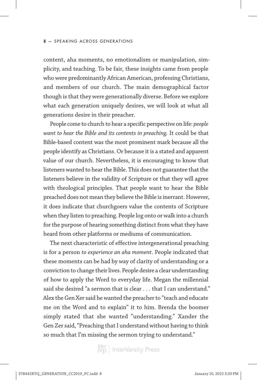#### 8 **—** SPEAKING ACROSS GENERATIONS

content, aha moments, no emotionalism or manipulation, simplicity, and teaching. To be fair, these insights came from people who were predominantly African American, professing Christians, and members of our church. The main demographical factor though is that they were generationally diverse. Before we explore what each generation uniquely desires, we will look at what all generations desire in their preacher.

People come to church to hear a specific perspective on life: *people want to hear the Bible and its contents in preaching.* It could be that Bible-based content was the most prominent mark because all the people identify as Christians. Or because it is a stated and apparent value of our church. Nevertheless, it is encouraging to know that listeners wanted to hear the Bible. This does not guarantee that the listeners believe in the validity of Scripture or that they will agree with theological principles. That people want to hear the Bible preached does not mean they believe the Bible is inerrant. However, it does indicate that churchgoers value the contents of Scripture when they listen to preaching. People log onto or walk into a church for the purpose of hearing something distinct from what they have heard from other platforms or mediums of communication.

The next characteristic of effective intergenerational preaching is for a person *to experience an aha moment*. People indicated that these moments can be had by way of clarity of understanding or a conviction to change their lives. People desire a clear understanding of how to apply the Word to everyday life. Megan the millennial said she desired "a sermon that is clear . . . that I can understand." Alex the Gen Xer said he wanted the preacher to "teach and educate me on the Word and to explain" it to him. Brenda the boomer simply stated that she wanted "understanding." Xander the Gen Zer said, "Preaching that I understand without having to think so much that I'm missing the sermon trying to understand."

 $\left|\widetilde{\widetilde{\text{V}}\text{p}}\right|$  InterVarsity Press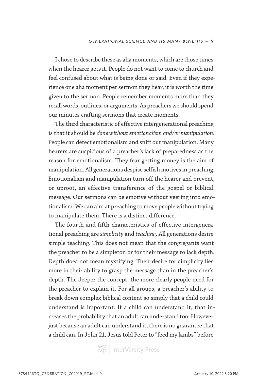I chose to describe these as aha moments, which are those times when the hearer gets it. People do not want to come to church and feel confused about what is being done or said. Even if they experience one aha moment per sermon they hear, it is worth the time given to the sermon. People remember moments more than they recall words, outlines, or arguments. As preachers we should spend our minutes crafting sermons that create moments.

The third characteristic of effective intergenerational preaching is that it should be *done without emotionalism and/or manipulation*. People can detect emotionalism and sniff out manipulation. Many hearers are suspicious of a preacher's lack of preparedness as the reason for emotionalism. They fear getting money is the aim of manipulation. All generations despise selfish motives in preaching. Emotionalism and manipulation turn off the hearer and prevent, or uproot, an effective transference of the gospel or biblical message. Our sermons can be emotive without veering into emotionalism. We can aim at preaching to move people without trying to manipulate them. There is a distinct difference.

The fourth and fifth characteristics of effective intergenerational preaching are *simplicity* and *teaching*. All generations desire simple teaching. This does not mean that the congregants want the preacher to be a simpleton or for their message to lack depth. Depth does not mean mystifying. Their desire for simplicity lies more in their ability to grasp the message than in the preacher's depth. The deeper the concept, the more clearly people need for the preacher to explain it. For all groups, a preacher's ability to break down complex biblical content so simply that a child could understand is important. If a child can understand it, that increases the probability that an adult can understand too. However, just because an adult can understand it, there is no guarantee that a child can. In John 21, Jesus told Peter to "feed my lambs" before

 $\left|\widetilde{\widetilde{\text{V}}\text{p}}\right|$  InterVarsity Press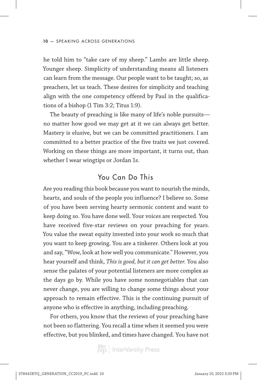he told him to "take care of my sheep." Lambs are little sheep. Younger sheep. Simplicity of understanding means all listeners can learn from the message. Our people want to be taught; so, as preachers, let us teach. These desires for simplicity and teaching align with the one competency offered by Paul in the qualifications of a bishop (1 Tim 3:2; Titus 1:9).

The beauty of preaching is like many of life's noble pursuits no matter how good we may get at it we can always get better. Mastery is elusive, but we can be committed practitioners. I am committed to a better practice of the five traits we just covered. Working on these things are more important, it turns out, than whether I wear wingtips or Jordan 1s.

### You Can Do This

Are you reading this book because you want to nourish the minds, hearts, and souls of the people you influence? I believe so. Some of you have been serving hearty sermonic content and want to keep doing so. You have done well. Your voices are respected. You have received five-star reviews on your preaching for years. You value the sweat equity invested into your work so much that you want to keep growing. You are a tinkerer. Others look at you and say, "Wow, look at how well you communicate." However, you hear yourself and think, *This is good, but it can get better.* You also sense the palates of your potential listeners are more complex as the days go by. While you have some nonnegotiables that can never change, you are willing to change some things about your approach to remain effective. This is the continuing pursuit of anyone who is effective in anything, including preaching.

For others, you know that the reviews of your preaching have not been so flattering. You recall a time when it seemed you were effective, but you blinked, and times have changed. You have not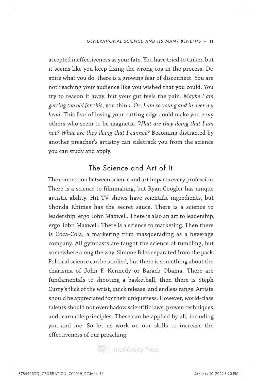accepted ineffectiveness as your fate. You have tried to tinker, but it seems like you keep fixing the wrong cog in the process. Despite what you do, there is a growing fear of disconnect. You are not reaching your audience like you wished that you could. You try to reason it away, but your gut feels the pain. *Maybe I am getting too old for this*, you think. Or, *I am so young and in over my head*. This fear of losing your cutting edge could make you envy others who seem to be magnetic. *What are they doing that I am not? What are they doing that I cannot?* Becoming distracted by another preacher's artistry can sidetrack you from the science you can study and apply.

## The Science and Art of It

The connection between science and art impacts every profession. There is a science to filmmaking, but Ryan Coogler has unique artistic ability. Hit TV shows have scientific ingredients, but Shonda Rhimes has the secret sauce. There is a science to leadership, ergo John Maxwell. There is also an art to leadership, ergo John Maxwell. There is a science to marketing. Then there is Coca-Cola, a marketing firm masquerading as a beverage company. All gymnasts are taught the science of tumbling, but somewhere along the way, Simone Biles separated from the pack. Political science can be studied, but there is something about the charisma of John F. Kennedy or Barack Obama. There are fundamentals to shooting a basketball, then there is Steph Curry's flick of the wrist, quick release, and endless range. Artists should be appreciated for their uniqueness. However, world-class talents should not overshadow scientific laws, proven techniques, and learnable principles. These can be applied by all, including you and me. So let us work on our skills to increase the effectiveness of our preaching.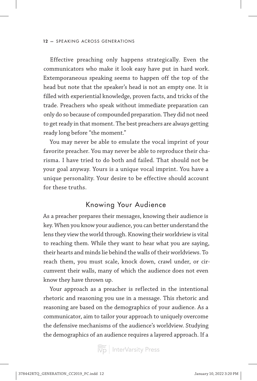#### 12 **—** SPEAKING ACROSS GENERATIONS

Effective preaching only happens strategically. Even the communicators who make it look easy have put in hard work. Extemporaneous speaking seems to happen off the top of the head but note that the speaker's head is not an empty one. It is filled with experiential knowledge, proven facts, and tricks of the trade. Preachers who speak without immediate preparation can only do so because of compounded preparation. They did not need to get ready in that moment. The best preachers are always getting ready long before "the moment."

You may never be able to emulate the vocal imprint of your favorite preacher. You may never be able to reproduce their charisma. I have tried to do both and failed. That should not be your goal anyway. Yours is a unique vocal imprint. You have a unique personality. Your desire to be effective should account for these truths.

#### Knowing Your Audience

As a preacher prepares their messages, knowing their audience is key. When you know your audience, you can better understand the lens they view the world through. Knowing their worldview is vital to reaching them. While they want to hear what you are saying, their hearts and minds lie behind the walls of their worldviews. To reach them, you must scale, knock down, crawl under, or circumvent their walls, many of which the audience does not even know they have thrown up.

Your approach as a preacher is reflected in the intentional rhetoric and reasoning you use in a message. This rhetoric and reasoning are based on the demographics of your audience. As a communicator, aim to tailor your approach to uniquely overcome the defensive mechanisms of the audience's worldview. Studying the demographics of an audience requires a layered approach. If a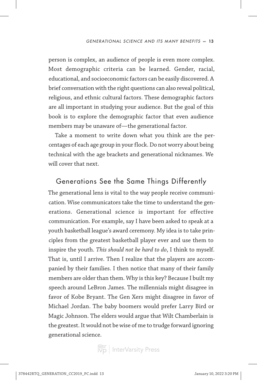person is complex, an audience of people is even more complex. Most demographic criteria can be learned. Gender, racial, educational, and socioeconomic factors can be easily discovered. A brief conversation with the right questions can also reveal political, religious, and ethnic cultural factors. These demographic factors are all important in studying your audience. But the goal of this book is to explore the demographic factor that even audience members may be unaware of—the generational factor.

Take a moment to write down what you think are the percentages of each age group in your flock. Do not worry about being technical with the age brackets and generational nicknames. We will cover that next.

#### Generations See the Same Things Differently

The generational lens is vital to the way people receive communication. Wise communicators take the time to understand the generations. Generational science is important for effective communication. For example, say I have been asked to speak at a youth basketball league's award ceremony. My idea is to take principles from the greatest basketball player ever and use them to inspire the youth. *This should not be hard to do*, I think to myself. That is, until I arrive. Then I realize that the players are accompanied by their families. I then notice that many of their family members are older than them. Why is this key? Because I built my speech around LeBron James. The millennials might disagree in favor of Kobe Bryant. The Gen Xers might disagree in favor of Michael Jordan. The baby boomers would prefer Larry Bird or Magic Johnson. The elders would argue that Wilt Chamberlain is the greatest. It would not be wise of me to trudge forward ignoring generational science.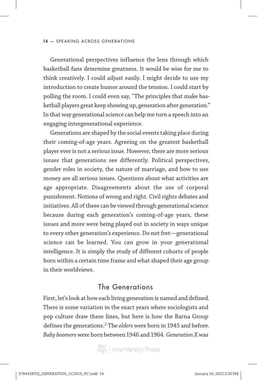#### 14 **—** SPEAKING ACROSS GENERATIONS

Generational perspectives influence the lens through which basketball fans determine greatness. It would be wise for me to think creatively. I could adjust easily. I might decide to use my introduction to create humor around the tension. I could start by polling the room. I could even say, "The principles that make basketball players great keep showing up, generation after generation." In that way generational science can help me turn a speech into an engaging intergenerational experience.

Generations are shaped by the social events taking place during their coming-of-age years. Agreeing on the greatest basketball player ever is not a serious issue. However, there are more serious issues that generations see differently. Political perspectives, gender roles in society, the nature of marriage, and how to use money are all serious issues. Questions about what activities are age appropriate. Disagreements about the use of corporal punishment. Notions of wrong and right. Civil rights debates and initiatives. All of these can be viewed through generational science because during each generation's coming-of-age years, these issues and more were being played out in society in ways unique to every other generation's experience. Do not fret—generational science can be learned. You can grow in your generational intelligence. It is simply the study of different cohorts of people born within a certain time frame and what shaped their age group in their worldviews.

### The Generations

First, let's look at how each living generation is named and defined. There is some variation in the exact years where sociologists and pop culture draw these lines, but here is how the Barna Group defines the generations.2 The *elders* were born in 1945 and before. *Baby boomers* were born between 1946 and 1964. *Generation X* was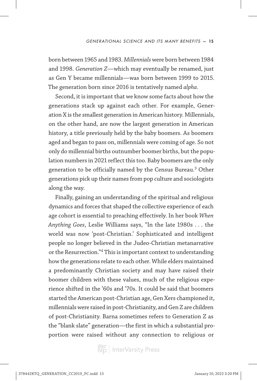born between 1965 and 1983. *Millennials* were born between 1984 and 1998. *Generation Z*—which may eventually be renamed, just as Gen Y became millennials—was born between 1999 to 2015. The generation born since 2016 is tentatively named *alpha*.

Second, it is important that we know some facts about how the generations stack up against each other. For example, Generation X is the smallest generation in American history. Millennials, on the other hand, are now the largest generation in American history, a title previously held by the baby boomers. As boomers aged and began to pass on, millennials were coming of age. So not only do millennial births outnumber boomer births, but the population numbers in 2021 reflect this too. Baby boomers are the only generation to be officially named by the Census Bureau.3 Other generations pick up their names from pop culture and sociologists along the way.

Finally, gaining an understanding of the spiritual and religious dynamics and forces that shaped the collective experience of each age cohort is essential to preaching effectively. In her book *When Anything Goes*, Leslie Williams says, "In the late 1980s . . . the world was now 'post-Christian.' Sophisticated and intelligent people no longer believed in the Judeo-Christian metanarrative or the Resurrection."4 This is important context to understanding how the generations relate to each other. While elders maintained a predominantly Christian society and may have raised their boomer children with these values, much of the religious experience shifted in the '60s and '70s. It could be said that boomers started the American post-Christian age, Gen Xers championed it, millennials were raised in post-Christianity, and Gen Z are children of post-Christianity. Barna sometimes refers to Generation Z as the "blank slate" generation—the first in which a substantial proportion were raised without any connection to religious or

 $\left|\widetilde{\widetilde{\text{V}}\text{D}}\right|$  InterVarsity Press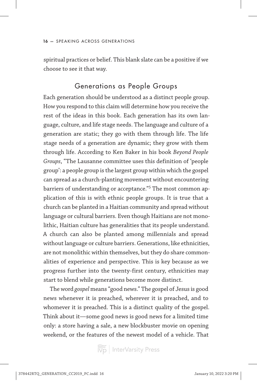spiritual practices or belief. This blank slate can be a positive if we choose to see it that way.

#### Generations as People Groups

Each generation should be understood as a distinct people group. How you respond to this claim will determine how you receive the rest of the ideas in this book. Each generation has its own language, culture, and life stage needs. The language and culture of a generation are static; they go with them through life. The life stage needs of a generation are dynamic; they grow with them through life. According to Ken Baker in his book *Beyond People Groups*, "The Lausanne committee uses this definition of 'people group': a people group is the largest group within which the gospel can spread as a church-planting movement without encountering barriers of understanding or acceptance."5 The most common application of this is with ethnic people groups. It is true that a church can be planted in a Haitian community and spread without language or cultural barriers. Even though Haitians are not monolithic, Haitian culture has generalities that its people understand. A church can also be planted among millennials and spread without language or culture barriers. Generations, like ethnicities, are not monolithic within themselves, but they do share commonalities of experience and perspective. This is key because as we progress further into the twenty-first century, ethnicities may start to blend while generations become more distinct.

The word *gospel* means "good news." The gospel of Jesus is good news whenever it is preached, wherever it is preached, and to whomever it is preached. This is a distinct quality of the gospel. Think about it—some good news is good news for a limited time only: a store having a sale, a new blockbuster movie on opening weekend, or the features of the newest model of a vehicle. That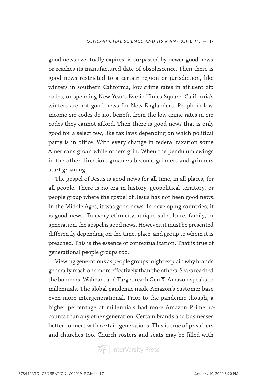good news eventually expires, is surpassed by newer good news, or reaches its manufactured date of obsolescence. Then there is good news restricted to a certain region or jurisdiction, like winters in southern California, low crime rates in affluent zip codes, or spending New Year's Eve in Times Square. California's winters are not good news for New Englanders. People in lowincome zip codes do not benefit from the low crime rates in zip codes they cannot afford. Then there is good news that is only good for a select few, like tax laws depending on which political party is in office. With every change in federal taxation some Americans groan while others grin. When the pendulum swings in the other direction, groaners become grinners and grinners start groaning.

The gospel of Jesus is good news for all time, in all places, for all people. There is no era in history, geopolitical territory, or people group where the gospel of Jesus has not been good news. In the Middle Ages, it was good news. In developing countries, it is good news. To every ethnicity, unique subculture, family, or generation, the gospel is good news. However, it must be presented differently depending on the time, place, and group to whom it is preached. This is the essence of contextualization. That is true of generational people groups too.

Viewing generations as people groups might explain why brands generally reach one more effectively than the others. Sears reached the boomers. Walmart and Target reach Gen X. Amazon speaks to millennials. The global pandemic made Amazon's customer base even more intergenerational. Prior to the pandemic though, a higher percentage of millennials had more Amazon Prime accounts than any other generation. Certain brands and businesses better connect with certain generations. This is true of preachers and churches too. Church rosters and seats may be filled with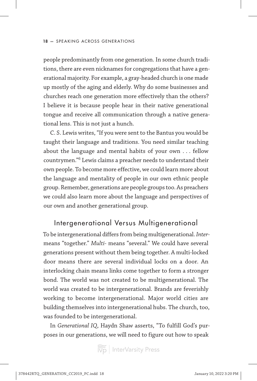people predominantly from one generation. In some church traditions, there are even nicknames for congregations that have a generational majority. For example, a gray-headed church is one made up mostly of the aging and elderly. Why do some businesses and churches reach one generation more effectively than the others? I believe it is because people hear in their native generational tongue and receive all communication through a native generational lens. This is not just a hunch.

C. S. Lewis writes, "If you were sent to the Bantus you would be taught their language and traditions. You need similar teaching about the language and mental habits of your own . . . fellow countrymen."6 Lewis claims a preacher needs to understand their own people. To become more effective, we could learn more about the language and mentality of people in our own ethnic people group. Remember, generations are people groups too. As preachers we could also learn more about the language and perspectives of our own and another generational group.

#### Intergenerational Versus Multigenerational

To be intergenerational differs from being multigenerational. *Inter*means "together." *Multi-* means "several." We could have several generations present without them being together. A multi-locked door means there are several individual locks on a door. An interlocking chain means links come together to form a stronger bond. The world was not created to be multigenerational. The world was created to be intergenerational. Brands are feverishly working to become intergenerational. Major world cities are building themselves into intergenerational hubs. The church, too, was founded to be intergenerational.

In *Generational IQ*, Haydn Shaw asserts, "To fulfill God's purposes in our generations, we will need to figure out how to speak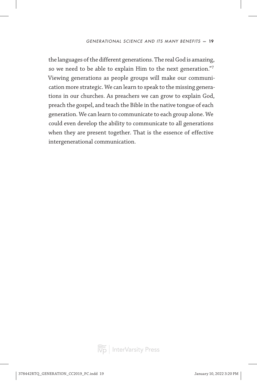the languages of the different generations. The real God is amazing, so we need to be able to explain Him to the next generation."7 Viewing generations as people groups will make our communication more strategic. We can learn to speak to the missing generations in our churches. As preachers we can grow to explain God, preach the gospel, and teach the Bible in the native tongue of each generation. We can learn to communicate to each group alone. We could even develop the ability to communicate to all generations when they are present together. That is the essence of effective intergenerational communication.